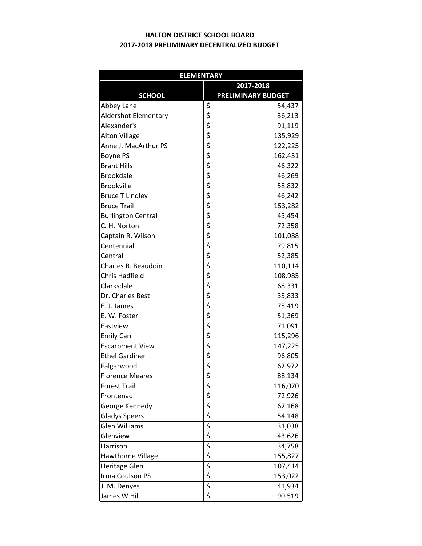## **2017‐2018 PRELIMINARY DECENTRALIZED BUDGET HALTON DISTRICT SCHOOL BOARD**

| <b>ELEMENTARY</b>         |                                     |                           |  |  |
|---------------------------|-------------------------------------|---------------------------|--|--|
|                           | 2017-2018                           |                           |  |  |
| <b>SCHOOL</b>             |                                     | <b>PRELIMINARY BUDGET</b> |  |  |
| Abbey Lane                | \$                                  | 54,437                    |  |  |
| Aldershot Elementary      | \$                                  | 36,213                    |  |  |
| Alexander's               | \$                                  | 91,119                    |  |  |
| <b>Alton Village</b>      | \$                                  | 135,929                   |  |  |
| Anne J. MacArthur PS      | \$                                  | 122,225                   |  |  |
| Boyne PS                  | \$                                  | 162,431                   |  |  |
| <b>Brant Hills</b>        | \$                                  | 46,322                    |  |  |
| <b>Brookdale</b>          | \$                                  | 46,269                    |  |  |
| <b>Brookville</b>         | \$                                  | 58,832                    |  |  |
| <b>Bruce T Lindley</b>    | \$                                  | 46,242                    |  |  |
| <b>Bruce Trail</b>        | \$                                  | 153,282                   |  |  |
| <b>Burlington Central</b> | \$                                  | 45,454                    |  |  |
| C. H. Norton              | \$                                  | 72,358                    |  |  |
| Captain R. Wilson         | \$                                  | 101,088                   |  |  |
| Centennial                | \$                                  | 79,815                    |  |  |
| Central                   | \$                                  | 52,385                    |  |  |
| Charles R. Beaudoin       | \$                                  | 110,114                   |  |  |
| Chris Hadfield            | \$                                  | 108,985                   |  |  |
| Clarksdale                | \$                                  | 68,331                    |  |  |
| Dr. Charles Best          | \$                                  | 35,833                    |  |  |
| E. J. James               |                                     | 75,419                    |  |  |
| E. W. Foster              | $\frac{5}{5}$                       | 51,369                    |  |  |
| Eastview                  | \$                                  | 71,091                    |  |  |
| <b>Emily Carr</b>         | \$                                  | 115,296                   |  |  |
| <b>Escarpment View</b>    | \$                                  | 147,225                   |  |  |
| <b>Ethel Gardiner</b>     | \$                                  | 96,805                    |  |  |
| Falgarwood                | \$                                  | 62,972                    |  |  |
| <b>Florence Meares</b>    | $\overline{\boldsymbol{\varsigma}}$ | 88,134                    |  |  |
| <b>Forest Trail</b>       | \$                                  | 116,070                   |  |  |
| Frontenac                 | \$                                  | 72,926                    |  |  |
| George Kennedy            | \$                                  | 62,168                    |  |  |
| <b>Gladys Speers</b>      |                                     | 54,148                    |  |  |
| Glen Williams             | $rac{5}{5}$                         | 31,038                    |  |  |
| Glenview                  |                                     | 43,626                    |  |  |
| Harrison                  | $rac{5}{5}$                         | 34,758                    |  |  |
| Hawthorne Village         |                                     | 155,827                   |  |  |
| Heritage Glen             |                                     | 107,414                   |  |  |
| Irma Coulson PS           | $\frac{1}{5}$<br>$\frac{1}{5}$      | 153,022                   |  |  |
| J. M. Denyes              |                                     | 41,934                    |  |  |
| James W Hill              | \$                                  | 90,519                    |  |  |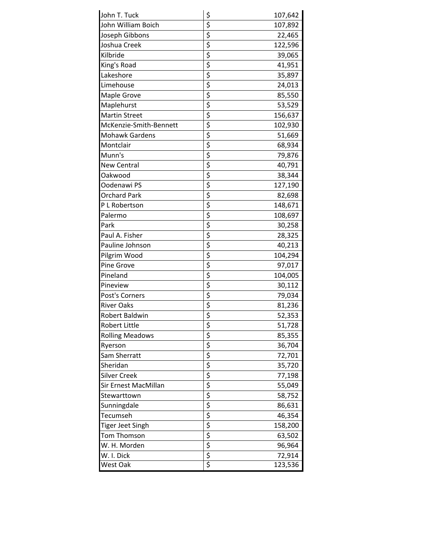| \$<br>\$<br>John William Boich<br>107,892<br>$\frac{1}{5}$<br>Joseph Gibbons<br>22,465<br>\$<br>Joshua Creek<br>122,596<br>$\overline{\xi}$<br>Kilbride<br>39,065<br>\$<br>King's Road<br>41,951<br>$\frac{1}{2}$<br>Lakeshore<br>35,897<br>Limehouse<br>24,013<br>$\frac{1}{2}$<br>Maple Grove<br>85,550<br>Maplehurst<br>53,529<br>\$<br><b>Martin Street</b><br>156,637<br>$\frac{1}{2}$<br>McKenzie-Smith-Bennett<br>102,930<br><b>Mohawk Gardens</b><br>51,669<br>$\frac{1}{2}$<br>Montclair<br>68,934<br>Munn's<br>79,876<br>$\overline{\boldsymbol{\zeta}}$<br><b>New Central</b><br>40,791<br>$\overline{\xi}$<br>Oakwood<br>38,344<br>$\overline{\boldsymbol{\varsigma}}$<br>Oodenawi PS<br>127,190<br>$\overline{\xi}$<br><b>Orchard Park</b><br>82,698<br>$\frac{1}{5}$<br>P L Robertson<br>148,671<br>Palermo<br>108,697<br>$\overline{\xi}$<br>Park<br>30,258<br>$rac{5}{5}$<br>Paul A. Fisher<br>28,325<br>Pauline Johnson<br>40,213<br>$\frac{1}{5}$<br>$\frac{1}{5}$<br>Pilgrim Wood<br>104,294<br>Pine Grove<br>97,017<br>Pineland<br>104,005<br>Pineview<br>30,112<br>$\overline{\xi}$<br>Post's Corners<br>79,034<br>\$<br><b>River Oaks</b><br>81,236<br>$\overline{\xi}$<br>52,353<br>Robert Baldwin<br>\$<br>Robert Little<br>51,728<br><b>Rolling Meadows</b><br>85,355<br>36,704<br>Ryerson<br>Sam Sherratt<br>72,701<br>Sheridan<br>35,720<br>Silver Creek<br>77,198<br>Sir Ernest MacMillan<br>55,049<br>Stewarttown<br>58,752<br>Sunningdale<br>86,631 | John T. Tuck | 107,642 |
|-----------------------------------------------------------------------------------------------------------------------------------------------------------------------------------------------------------------------------------------------------------------------------------------------------------------------------------------------------------------------------------------------------------------------------------------------------------------------------------------------------------------------------------------------------------------------------------------------------------------------------------------------------------------------------------------------------------------------------------------------------------------------------------------------------------------------------------------------------------------------------------------------------------------------------------------------------------------------------------------------------------------------------------------------------------------------------------------------------------------------------------------------------------------------------------------------------------------------------------------------------------------------------------------------------------------------------------------------------------------------------------------------------------------------------------------------------------------------------------|--------------|---------|
|                                                                                                                                                                                                                                                                                                                                                                                                                                                                                                                                                                                                                                                                                                                                                                                                                                                                                                                                                                                                                                                                                                                                                                                                                                                                                                                                                                                                                                                                                   |              |         |
|                                                                                                                                                                                                                                                                                                                                                                                                                                                                                                                                                                                                                                                                                                                                                                                                                                                                                                                                                                                                                                                                                                                                                                                                                                                                                                                                                                                                                                                                                   |              |         |
|                                                                                                                                                                                                                                                                                                                                                                                                                                                                                                                                                                                                                                                                                                                                                                                                                                                                                                                                                                                                                                                                                                                                                                                                                                                                                                                                                                                                                                                                                   |              |         |
|                                                                                                                                                                                                                                                                                                                                                                                                                                                                                                                                                                                                                                                                                                                                                                                                                                                                                                                                                                                                                                                                                                                                                                                                                                                                                                                                                                                                                                                                                   |              |         |
|                                                                                                                                                                                                                                                                                                                                                                                                                                                                                                                                                                                                                                                                                                                                                                                                                                                                                                                                                                                                                                                                                                                                                                                                                                                                                                                                                                                                                                                                                   |              |         |
|                                                                                                                                                                                                                                                                                                                                                                                                                                                                                                                                                                                                                                                                                                                                                                                                                                                                                                                                                                                                                                                                                                                                                                                                                                                                                                                                                                                                                                                                                   |              |         |
|                                                                                                                                                                                                                                                                                                                                                                                                                                                                                                                                                                                                                                                                                                                                                                                                                                                                                                                                                                                                                                                                                                                                                                                                                                                                                                                                                                                                                                                                                   |              |         |
|                                                                                                                                                                                                                                                                                                                                                                                                                                                                                                                                                                                                                                                                                                                                                                                                                                                                                                                                                                                                                                                                                                                                                                                                                                                                                                                                                                                                                                                                                   |              |         |
|                                                                                                                                                                                                                                                                                                                                                                                                                                                                                                                                                                                                                                                                                                                                                                                                                                                                                                                                                                                                                                                                                                                                                                                                                                                                                                                                                                                                                                                                                   |              |         |
|                                                                                                                                                                                                                                                                                                                                                                                                                                                                                                                                                                                                                                                                                                                                                                                                                                                                                                                                                                                                                                                                                                                                                                                                                                                                                                                                                                                                                                                                                   |              |         |
|                                                                                                                                                                                                                                                                                                                                                                                                                                                                                                                                                                                                                                                                                                                                                                                                                                                                                                                                                                                                                                                                                                                                                                                                                                                                                                                                                                                                                                                                                   |              |         |
|                                                                                                                                                                                                                                                                                                                                                                                                                                                                                                                                                                                                                                                                                                                                                                                                                                                                                                                                                                                                                                                                                                                                                                                                                                                                                                                                                                                                                                                                                   |              |         |
|                                                                                                                                                                                                                                                                                                                                                                                                                                                                                                                                                                                                                                                                                                                                                                                                                                                                                                                                                                                                                                                                                                                                                                                                                                                                                                                                                                                                                                                                                   |              |         |
|                                                                                                                                                                                                                                                                                                                                                                                                                                                                                                                                                                                                                                                                                                                                                                                                                                                                                                                                                                                                                                                                                                                                                                                                                                                                                                                                                                                                                                                                                   |              |         |
|                                                                                                                                                                                                                                                                                                                                                                                                                                                                                                                                                                                                                                                                                                                                                                                                                                                                                                                                                                                                                                                                                                                                                                                                                                                                                                                                                                                                                                                                                   |              |         |
|                                                                                                                                                                                                                                                                                                                                                                                                                                                                                                                                                                                                                                                                                                                                                                                                                                                                                                                                                                                                                                                                                                                                                                                                                                                                                                                                                                                                                                                                                   |              |         |
|                                                                                                                                                                                                                                                                                                                                                                                                                                                                                                                                                                                                                                                                                                                                                                                                                                                                                                                                                                                                                                                                                                                                                                                                                                                                                                                                                                                                                                                                                   |              |         |
|                                                                                                                                                                                                                                                                                                                                                                                                                                                                                                                                                                                                                                                                                                                                                                                                                                                                                                                                                                                                                                                                                                                                                                                                                                                                                                                                                                                                                                                                                   |              |         |
|                                                                                                                                                                                                                                                                                                                                                                                                                                                                                                                                                                                                                                                                                                                                                                                                                                                                                                                                                                                                                                                                                                                                                                                                                                                                                                                                                                                                                                                                                   |              |         |
|                                                                                                                                                                                                                                                                                                                                                                                                                                                                                                                                                                                                                                                                                                                                                                                                                                                                                                                                                                                                                                                                                                                                                                                                                                                                                                                                                                                                                                                                                   |              |         |
|                                                                                                                                                                                                                                                                                                                                                                                                                                                                                                                                                                                                                                                                                                                                                                                                                                                                                                                                                                                                                                                                                                                                                                                                                                                                                                                                                                                                                                                                                   |              |         |
|                                                                                                                                                                                                                                                                                                                                                                                                                                                                                                                                                                                                                                                                                                                                                                                                                                                                                                                                                                                                                                                                                                                                                                                                                                                                                                                                                                                                                                                                                   |              |         |
|                                                                                                                                                                                                                                                                                                                                                                                                                                                                                                                                                                                                                                                                                                                                                                                                                                                                                                                                                                                                                                                                                                                                                                                                                                                                                                                                                                                                                                                                                   |              |         |
|                                                                                                                                                                                                                                                                                                                                                                                                                                                                                                                                                                                                                                                                                                                                                                                                                                                                                                                                                                                                                                                                                                                                                                                                                                                                                                                                                                                                                                                                                   |              |         |
|                                                                                                                                                                                                                                                                                                                                                                                                                                                                                                                                                                                                                                                                                                                                                                                                                                                                                                                                                                                                                                                                                                                                                                                                                                                                                                                                                                                                                                                                                   |              |         |
|                                                                                                                                                                                                                                                                                                                                                                                                                                                                                                                                                                                                                                                                                                                                                                                                                                                                                                                                                                                                                                                                                                                                                                                                                                                                                                                                                                                                                                                                                   |              |         |
|                                                                                                                                                                                                                                                                                                                                                                                                                                                                                                                                                                                                                                                                                                                                                                                                                                                                                                                                                                                                                                                                                                                                                                                                                                                                                                                                                                                                                                                                                   |              |         |
|                                                                                                                                                                                                                                                                                                                                                                                                                                                                                                                                                                                                                                                                                                                                                                                                                                                                                                                                                                                                                                                                                                                                                                                                                                                                                                                                                                                                                                                                                   |              |         |
|                                                                                                                                                                                                                                                                                                                                                                                                                                                                                                                                                                                                                                                                                                                                                                                                                                                                                                                                                                                                                                                                                                                                                                                                                                                                                                                                                                                                                                                                                   |              |         |
|                                                                                                                                                                                                                                                                                                                                                                                                                                                                                                                                                                                                                                                                                                                                                                                                                                                                                                                                                                                                                                                                                                                                                                                                                                                                                                                                                                                                                                                                                   |              |         |
|                                                                                                                                                                                                                                                                                                                                                                                                                                                                                                                                                                                                                                                                                                                                                                                                                                                                                                                                                                                                                                                                                                                                                                                                                                                                                                                                                                                                                                                                                   |              |         |
|                                                                                                                                                                                                                                                                                                                                                                                                                                                                                                                                                                                                                                                                                                                                                                                                                                                                                                                                                                                                                                                                                                                                                                                                                                                                                                                                                                                                                                                                                   |              |         |
|                                                                                                                                                                                                                                                                                                                                                                                                                                                                                                                                                                                                                                                                                                                                                                                                                                                                                                                                                                                                                                                                                                                                                                                                                                                                                                                                                                                                                                                                                   |              |         |
|                                                                                                                                                                                                                                                                                                                                                                                                                                                                                                                                                                                                                                                                                                                                                                                                                                                                                                                                                                                                                                                                                                                                                                                                                                                                                                                                                                                                                                                                                   |              |         |
|                                                                                                                                                                                                                                                                                                                                                                                                                                                                                                                                                                                                                                                                                                                                                                                                                                                                                                                                                                                                                                                                                                                                                                                                                                                                                                                                                                                                                                                                                   |              |         |
|                                                                                                                                                                                                                                                                                                                                                                                                                                                                                                                                                                                                                                                                                                                                                                                                                                                                                                                                                                                                                                                                                                                                                                                                                                                                                                                                                                                                                                                                                   |              |         |
|                                                                                                                                                                                                                                                                                                                                                                                                                                                                                                                                                                                                                                                                                                                                                                                                                                                                                                                                                                                                                                                                                                                                                                                                                                                                                                                                                                                                                                                                                   |              |         |
|                                                                                                                                                                                                                                                                                                                                                                                                                                                                                                                                                                                                                                                                                                                                                                                                                                                                                                                                                                                                                                                                                                                                                                                                                                                                                                                                                                                                                                                                                   |              |         |
|                                                                                                                                                                                                                                                                                                                                                                                                                                                                                                                                                                                                                                                                                                                                                                                                                                                                                                                                                                                                                                                                                                                                                                                                                                                                                                                                                                                                                                                                                   |              |         |
|                                                                                                                                                                                                                                                                                                                                                                                                                                                                                                                                                                                                                                                                                                                                                                                                                                                                                                                                                                                                                                                                                                                                                                                                                                                                                                                                                                                                                                                                                   | Tecumseh     | 46,354  |
| Tiger Jeet Singh<br>158,200                                                                                                                                                                                                                                                                                                                                                                                                                                                                                                                                                                                                                                                                                                                                                                                                                                                                                                                                                                                                                                                                                                                                                                                                                                                                                                                                                                                                                                                       |              |         |
| Tom Thomson<br>63,502                                                                                                                                                                                                                                                                                                                                                                                                                                                                                                                                                                                                                                                                                                                                                                                                                                                                                                                                                                                                                                                                                                                                                                                                                                                                                                                                                                                                                                                             |              |         |
| W. H. Morden<br>96,964                                                                                                                                                                                                                                                                                                                                                                                                                                                                                                                                                                                                                                                                                                                                                                                                                                                                                                                                                                                                                                                                                                                                                                                                                                                                                                                                                                                                                                                            |              |         |
| W. I. Dick<br>72,914                                                                                                                                                                                                                                                                                                                                                                                                                                                                                                                                                                                                                                                                                                                                                                                                                                                                                                                                                                                                                                                                                                                                                                                                                                                                                                                                                                                                                                                              |              |         |
| West Oak<br>123,536                                                                                                                                                                                                                                                                                                                                                                                                                                                                                                                                                                                                                                                                                                                                                                                                                                                                                                                                                                                                                                                                                                                                                                                                                                                                                                                                                                                                                                                               |              |         |